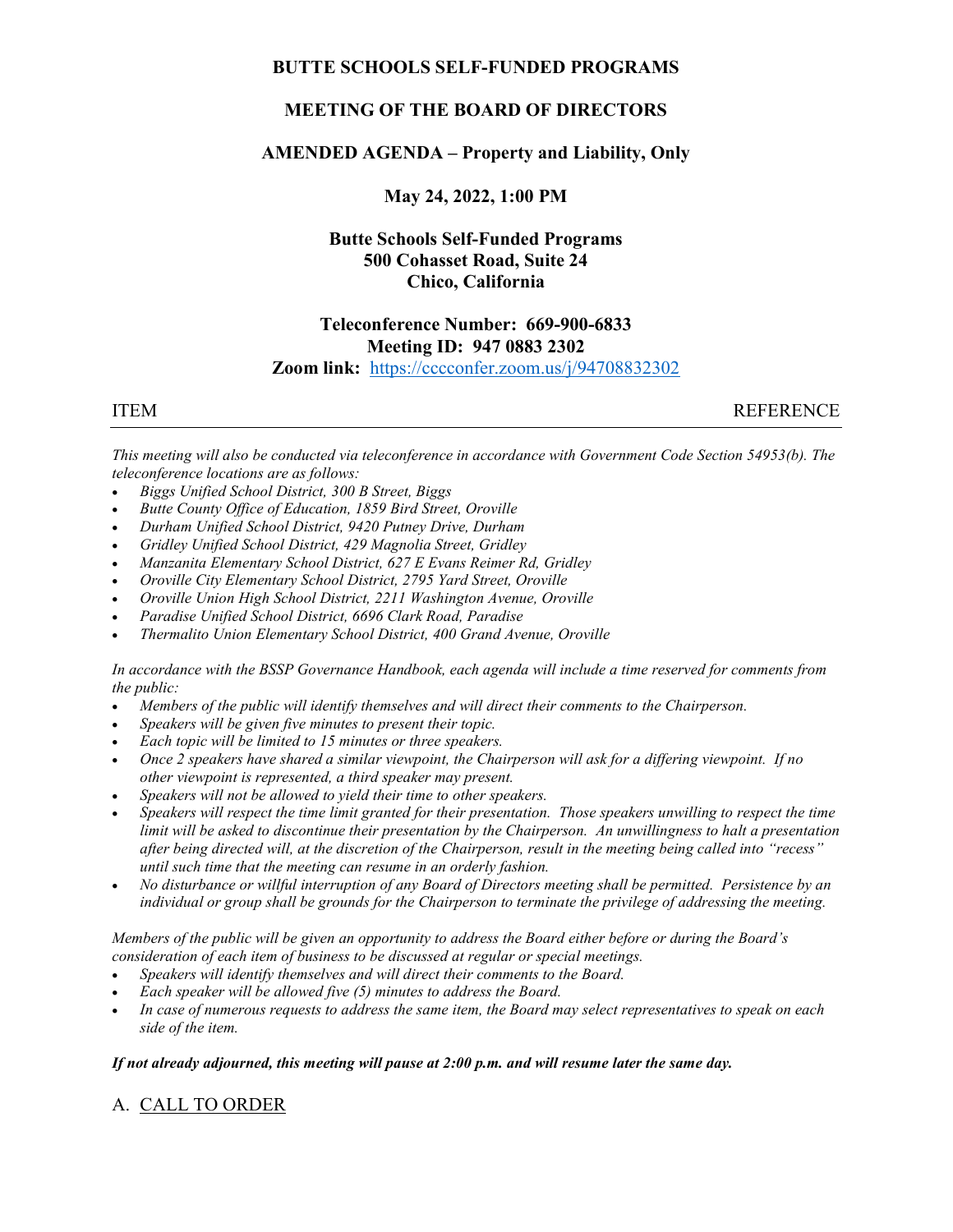## BUTTE SCHOOLS SELF-FUNDED PROGRAMS

# MEETING OF THE BOARD OF DIRECTORS

## AMENDED AGENDA – Property and Liability, Only

May 24, 2022, 1:00 PM

# Butte Schools Self-Funded Programs 500 Cohasset Road, Suite 24 Chico, California

## Teleconference Number: 669-900-6833 Meeting ID: 947 0883 2302 Zoom link: https://cccconfer.zoom.us/j/94708832302

ITEM REFERENCE

This meeting will also be conducted via teleconference in accordance with Government Code Section 54953(b). The teleconference locations are as follows:

- Biggs Unified School District, 300 B Street, Biggs
- Butte County Office of Education, 1859 Bird Street, Oroville
- Durham Unified School District, 9420 Putney Drive, Durham
- Gridley Unified School District, 429 Magnolia Street, Gridley
- Manzanita Elementary School District, 627 E Evans Reimer Rd, Gridley
- Oroville City Elementary School District, 2795 Yard Street, Oroville
- Oroville Union High School District, 2211 Washington Avenue, Oroville
- Paradise Unified School District, 6696 Clark Road, Paradise
- Thermalito Union Elementary School District, 400 Grand Avenue, Oroville

In accordance with the BSSP Governance Handbook, each agenda will include a time reserved for comments from the public:

- Members of the public will identify themselves and will direct their comments to the Chairperson.
- Speakers will be given five minutes to present their topic.
- Each topic will be limited to 15 minutes or three speakers.
- Once 2 speakers have shared a similar viewpoint, the Chairperson will ask for a differing viewpoint. If no other viewpoint is represented, a third speaker may present.
- Speakers will not be allowed to yield their time to other speakers.
- Speakers will respect the time limit granted for their presentation. Those speakers unwilling to respect the time limit will be asked to discontinue their presentation by the Chairperson. An unwillingness to halt a presentation after being directed will, at the discretion of the Chairperson, result in the meeting being called into "recess" until such time that the meeting can resume in an orderly fashion.
- No disturbance or willful interruption of any Board of Directors meeting shall be permitted. Persistence by an individual or group shall be grounds for the Chairperson to terminate the privilege of addressing the meeting.

Members of the public will be given an opportunity to address the Board either before or during the Board's consideration of each item of business to be discussed at regular or special meetings.

- Speakers will identify themselves and will direct their comments to the Board.
- Each speaker will be allowed five (5) minutes to address the Board.
- In case of numerous requests to address the same item, the Board may select representatives to speak on each side of the item.

### If not already adjourned, this meeting will pause at 2:00 p.m. and will resume later the same day.

# A. CALL TO ORDER